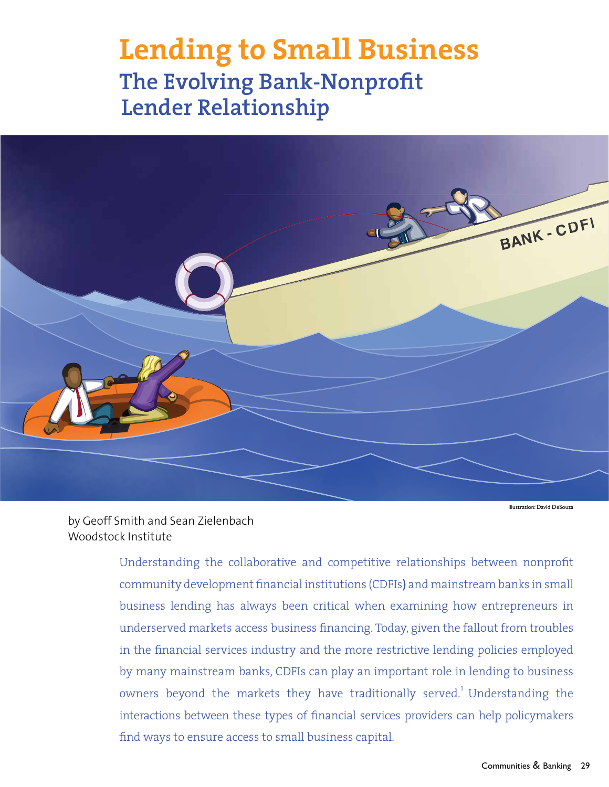# **The Evolving Bank-Nonprofit Lender Relationship**



Illustration: David DeSouza

by Geoff Smith and Sean Zielenbach Woodstock Institute

> Understanding the collaborative and competitive relationships between nonprofit community development financial institutions (CDFIs**)** and mainstream banks in small business lending has always been critical when examining how entrepreneurs in underserved markets access business financing. Today, given the fallout from troubles in the financial services industry and the more restrictive lending policies employed by many mainstream banks, CDFIs can play an important role in lending to business owners beyond the markets they have traditionally served.<sup>1</sup> Understanding the interactions between these types of financial services providers can help policymakers find ways to ensure access to small business capital.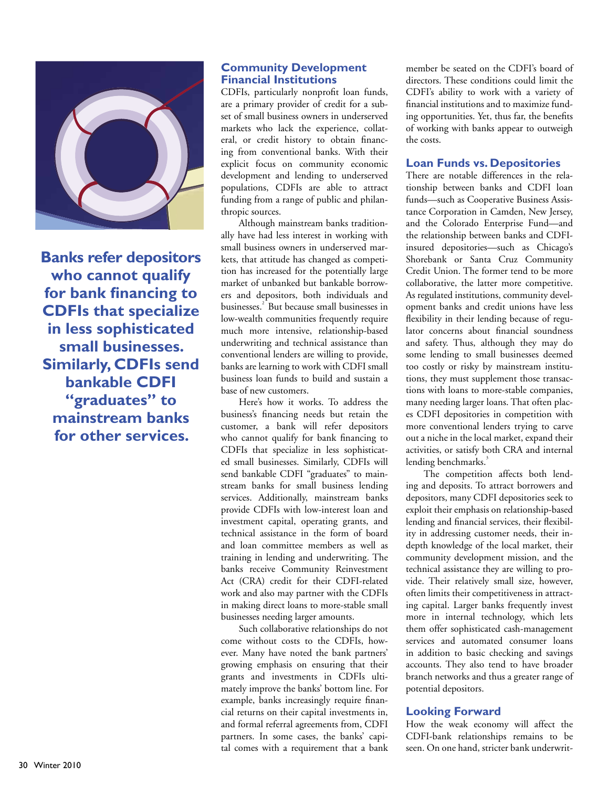

**Banks refer depositors who cannot qualify for bank financing to CDFIs that specialize in less sophisticated small businesses. Similarly, CDFIs send bankable CDFI "graduates" to mainstream banks for other services.**

## **Community Development Financial Institutions**

CDFIs, particularly nonprofit loan funds, are a primary provider of credit for a subset of small business owners in underserved markets who lack the experience, collateral, or credit history to obtain financing from conventional banks. With their explicit focus on community economic development and lending to underserved populations, CDFIs are able to attract funding from a range of public and philanthropic sources.

Although mainstream banks traditionally have had less interest in working with small business owners in underserved markets, that attitude has changed as competition has increased for the potentially large market of unbanked but bankable borrowers and depositors, both individuals and businesses.<sup>2</sup> But because small businesses in low-wealth communities frequently require much more intensive, relationship-based underwriting and technical assistance than conventional lenders are willing to provide, banks are learning to work with CDFI small business loan funds to build and sustain a base of new customers.

Here's how it works. To address the business's financing needs but retain the customer, a bank will refer depositors who cannot qualify for bank financing to CDFIs that specialize in less sophisticated small businesses. Similarly, CDFIs will send bankable CDFI "graduates" to mainstream banks for small business lending services. Additionally, mainstream banks provide CDFIs with low-interest loan and investment capital, operating grants, and technical assistance in the form of board and loan committee members as well as training in lending and underwriting. The banks receive Community Reinvestment Act (CRA) credit for their CDFI-related work and also may partner with the CDFIs in making direct loans to more-stable small businesses needing larger amounts.

Such collaborative relationships do not come without costs to the CDFIs, however. Many have noted the bank partners' growing emphasis on ensuring that their grants and investments in CDFIs ultimately improve the banks' bottom line. For example, banks increasingly require financial returns on their capital investments in, and formal referral agreements from, CDFI partners. In some cases, the banks' capital comes with a requirement that a bank member be seated on the CDFI's board of directors. These conditions could limit the CDFI's ability to work with a variety of financial institutions and to maximize funding opportunities. Yet, thus far, the benefits of working with banks appear to outweigh the costs.

### **Loan Funds vs. Depositories**

There are notable differences in the relationship between banks and CDFI loan funds—such as Cooperative Business Assistance Corporation in Camden, New Jersey, and the Colorado Enterprise Fund—and the relationship between banks and CDFIinsured depositories—such as Chicago's Shorebank or Santa Cruz Community Credit Union. The former tend to be more collaborative, the latter more competitive. As regulated institutions, community development banks and credit unions have less flexibility in their lending because of regulator concerns about financial soundness and safety. Thus, although they may do some lending to small businesses deemed too costly or risky by mainstream institutions, they must supplement those transactions with loans to more-stable companies, many needing larger loans. That often places CDFI depositories in competition with more conventional lenders trying to carve out a niche in the local market, expand their activities, or satisfy both CRA and internal lending benchmarks.<sup>3</sup>

The competition affects both lending and deposits. To attract borrowers and depositors, many CDFI depositories seek to exploit their emphasis on relationship-based lending and financial services, their flexibility in addressing customer needs, their indepth knowledge of the local market, their community development mission, and the technical assistance they are willing to provide. Their relatively small size, however, often limits their competitiveness in attracting capital. Larger banks frequently invest more in internal technology, which lets them offer sophisticated cash-management services and automated consumer loans in addition to basic checking and savings accounts. They also tend to have broader branch networks and thus a greater range of potential depositors.

#### **Looking Forward**

How the weak economy will affect the CDFI-bank relationships remains to be seen. On one hand, stricter bank underwrit-